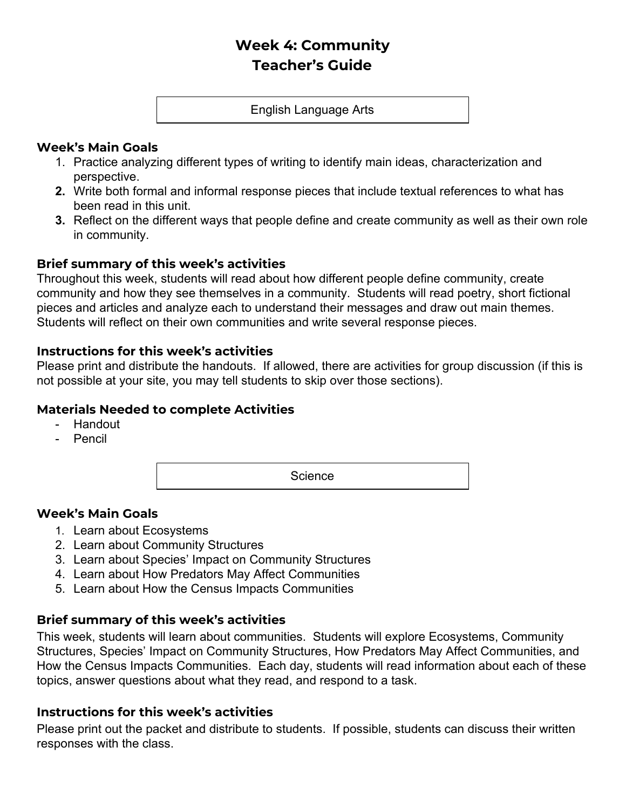# **Week 4: Community Teacher's Guide**

English Language Arts

## **Week's Main Goals**

- 1. Practice analyzing different types of writing to identify main ideas, characterization and perspective.
- **2.** Write both formal and informal response pieces that include textual references to what has been read in this unit.
- **3.** Reflect on the different ways that people define and create community as well as their own role in community.

## **Brief summary of this week's activities**

Throughout this week, students will read about how different people define community, create community and how they see themselves in a community. Students will read poetry, short fictional pieces and articles and analyze each to understand their messages and draw out main themes. Students will reflect on their own communities and write several response pieces.

#### **Instructions for this week's activities**

Please print and distribute the handouts. If allowed, there are activities for group discussion (if this is not possible at your site, you may tell students to skip over those sections).

## **Materials Needed to complete Activities**

- Handout
- Pencil

**Science** 

## **Week's Main Goals**

- 1. Learn about Ecosystems
- 2. Learn about Community Structures
- 3. Learn about Species' Impact on Community Structures
- 4. Learn about How Predators May Affect Communities
- 5. Learn about How the Census Impacts Communities

## **Brief summary of this week's activities**

This week, students will learn about communities. Students will explore Ecosystems, Community Structures, Species' Impact on Community Structures, How Predators May Affect Communities, and How the Census Impacts Communities. Each day, students will read information about each of these topics, answer questions about what they read, and respond to a task.

## **Instructions for this week's activities**

Please print out the packet and distribute to students. If possible, students can discuss their written responses with the class.